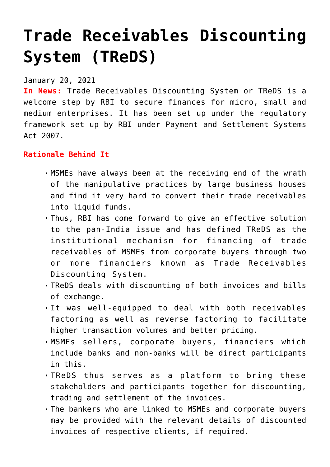## **[Trade Receivables Discounting](https://journalsofindia.com/trade-receivables-discounting-system-treds/) [System \(TReDS\)](https://journalsofindia.com/trade-receivables-discounting-system-treds/)**

January 20, 2021

**In News:** Trade Receivables Discounting System or TReDS is a welcome step by RBI to secure finances for micro, small and medium enterprises. It has been set up under the regulatory framework set up by RBI under Payment and Settlement Systems Act 2007.

## **Rationale Behind It**

- MSMEs have always been at the receiving end of the wrath of the manipulative practices by large business houses and find it very hard to convert their trade receivables into liquid funds.
- Thus, RBI has come forward to give an effective solution to the pan-India issue and has defined TReDS as the institutional mechanism for financing of trade receivables of MSMEs from corporate buyers through two or more financiers known as Trade Receivables Discounting System.
- TReDS deals with discounting of both invoices and bills of exchange.
- It was well-equipped to deal with both receivables factoring as well as reverse factoring to facilitate higher transaction volumes and better pricing.
- MSMEs sellers, corporate buyers, financiers which include banks and non-banks will be direct participants in this.
- TReDS thus serves as a platform to bring these stakeholders and participants together for discounting, trading and settlement of the invoices.
- The bankers who are linked to MSMEs and corporate buyers may be provided with the relevant details of discounted invoices of respective clients, if required.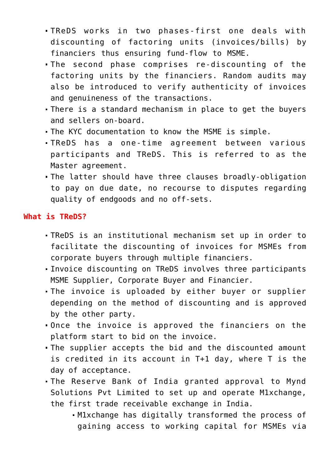- TReDS works in two phases-first one deals with discounting of factoring units (invoices/bills) by financiers thus ensuring fund-flow to MSME.
- The second phase comprises re-discounting of the factoring units by the financiers. Random audits may also be introduced to verify authenticity of invoices and genuineness of the transactions.
- There is a standard mechanism in place to get the buyers and sellers on-board.
- The KYC documentation to know the MSME is simple.
- TReDS has a one-time agreement between various participants and TReDS. This is referred to as the Master agreement.
- The latter should have three clauses broadly-obligation to pay on due date, no recourse to disputes regarding quality of endgoods and no off-sets.

## **What is TReDS?**

- TReDS is an institutional mechanism set up in order to facilitate the discounting of invoices for MSMEs from corporate buyers through multiple financiers.
- Invoice discounting on TReDS involves three participants MSME Supplier, Corporate Buyer and Financier.
- The invoice is uploaded by either buyer or supplier depending on the method of discounting and is approved by the other party.
- Once the invoice is approved the financiers on the platform start to bid on the invoice.
- The supplier accepts the bid and the discounted amount is credited in its account in T+1 day, where T is the day of acceptance.
- The Reserve Bank of India granted approval to Mynd Solutions Pvt Limited to set up and operate M1xchange, the first trade receivable exchange in India.
	- M1xchange has digitally transformed the process of gaining access to working capital for MSMEs via